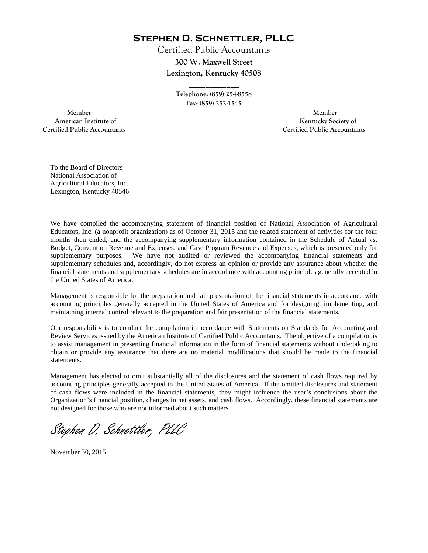**Stephen D. Schnettler, PLLC**

Certified Public Accountants **300 W. Maxwell Street Lexington, Kentucky 40508** 

> **Telephone: (859) 254-8558 Fax: (859) 252-1545**

**\_\_\_\_\_\_\_\_\_\_\_\_** 

 **Member Member Certified Public Accountants Certified Public Accountants** 

American Institute of **Kentucky Society of** 

To the Board of Directors National Association of Agricultural Educators, Inc. Lexington, Kentucky 40546

We have compiled the accompanying statement of financial position of National Association of Agricultural Educators, Inc. (a nonprofit organization) as of October 31, 2015 and the related statement of activities for the four months then ended, and the accompanying supplementary information contained in the Schedule of Actual vs. Budget, Convention Revenue and Expenses, and Case Program Revenue and Expenses, which is presented only for supplementary purposes. We have not audited or reviewed the accompanying financial statements and supplementary schedules and, accordingly, do not express an opinion or provide any assurance about whether the financial statements and supplementary schedules are in accordance with accounting principles generally accepted in the United States of America.

Management is responsible for the preparation and fair presentation of the financial statements in accordance with accounting principles generally accepted in the United States of America and for designing, implementing, and maintaining internal control relevant to the preparation and fair presentation of the financial statements.

Our responsibility is to conduct the compilation in accordance with Statements on Standards for Accounting and Review Services issued by the American Institute of Certified Public Accountants. The objective of a compilation is to assist management in presenting financial information in the form of financial statements without undertaking to obtain or provide any assurance that there are no material modifications that should be made to the financial statements.

Management has elected to omit substantially all of the disclosures and the statement of cash flows required by accounting principles generally accepted in the United States of America. If the omitted disclosures and statement of cash flows were included in the financial statements, they might influence the user's conclusions about the Organization's financial position, changes in net assets, and cash flows. Accordingly, these financial statements are not designed for those who are not informed about such matters.

Stephen D. Schnettler, PLLC

November 30, 2015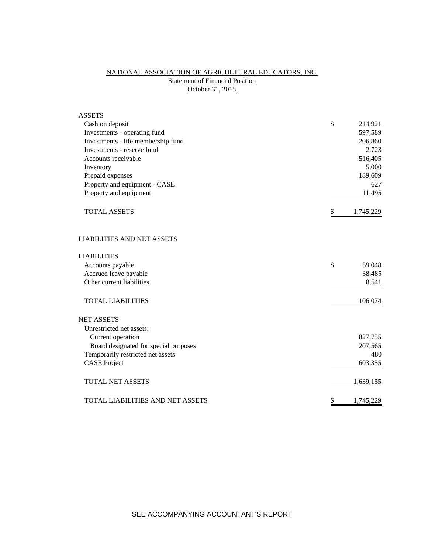## NATIONAL ASSOCIATION OF AGRICULTURAL EDUCATORS, INC. **Statement of Financial Position** October 31, 2015

| <b>ASSETS</b>                         |                 |  |
|---------------------------------------|-----------------|--|
| Cash on deposit                       | \$<br>214,921   |  |
| Investments - operating fund          | 597,589         |  |
| Investments - life membership fund    | 206,860         |  |
| Investments - reserve fund            | 2,723           |  |
| Accounts receivable                   | 516,405         |  |
| Inventory                             | 5,000           |  |
| Prepaid expenses                      | 189,609         |  |
| Property and equipment - CASE         | 627             |  |
| Property and equipment                | 11,495          |  |
| <b>TOTAL ASSETS</b>                   | \$<br>1,745,229 |  |
| <b>LIABILITIES AND NET ASSETS</b>     |                 |  |
| <b>LIABILITIES</b>                    |                 |  |
| Accounts payable                      | \$<br>59,048    |  |
| Accrued leave payable                 | 38,485          |  |
| Other current liabilities             | 8,541           |  |
| <b>TOTAL LIABILITIES</b>              | 106,074         |  |
| <b>NET ASSETS</b>                     |                 |  |
| Unrestricted net assets:              |                 |  |
| Current operation                     | 827,755         |  |
| Board designated for special purposes | 207,565         |  |
| Temporarily restricted net assets     | 480             |  |
| <b>CASE Project</b>                   | 603,355         |  |
| <b>TOTAL NET ASSETS</b>               | 1,639,155       |  |
| TOTAL LIABILITIES AND NET ASSETS      | \$<br>1,745,229 |  |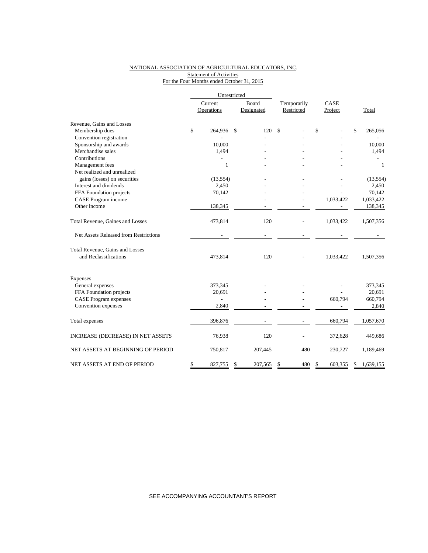### NATIONAL ASSOCIATION OF AGRICULTURAL EDUCATORS, INC. **Statement of Activities** For the Four Months ended October 31, 2015

|                                       | Unrestricted   |               |             |           |           |    |              |
|---------------------------------------|----------------|---------------|-------------|-----------|-----------|----|--------------|
|                                       | Current        | Board         | Temporarily |           | CASE      |    |              |
|                                       | Operations     | Designated    | Restricted  |           | Project   |    | Total        |
| Revenue, Gains and Losses             |                |               |             |           |           |    |              |
| Membership dues                       | \$<br>264,936  | \$<br>120     | \$          | \$        |           | \$ | 265,056      |
| Convention registration               |                |               |             |           |           |    |              |
| Sponsorship and awards                | 10,000         |               |             |           |           |    | 10,000       |
| Merchandise sales                     | 1,494          |               |             |           |           |    | 1,494        |
| Contributions                         |                |               |             |           |           |    |              |
| Management fees                       | 1              |               |             |           |           |    | $\mathbf{1}$ |
| Net realized and unrealized           |                |               |             |           |           |    |              |
| gains (losses) on securities          | (13, 554)      |               |             |           |           |    | (13, 554)    |
| Interest and dividends                | 2,450          |               |             |           |           |    | 2,450        |
| FFA Foundation projects               | 70,142         |               |             |           |           |    | 70,142       |
| CASE Program income                   |                |               |             |           | 1,033,422 |    | 1,033,422    |
| Other income                          | 138,345        |               |             |           |           |    | 138,345      |
| Total Revenue, Gaines and Losses      | 473,814        | 120           |             |           | 1,033,422 |    | 1,507,356    |
| Net Assets Released from Restrictions |                |               |             |           |           |    |              |
| Total Revenue, Gains and Losses       |                |               |             |           |           |    |              |
| and Reclassifications                 | 473,814        | 120           |             |           | 1,033,422 |    | 1,507,356    |
| Expenses                              |                |               |             |           |           |    |              |
| General expenses                      | 373,345        |               |             |           |           |    | 373,345      |
| FFA Foundation projects               | 20,691         |               |             |           |           |    | 20,691       |
| <b>CASE</b> Program expenses          | $\overline{a}$ |               |             |           | 660,794   |    | 660,794      |
| Convention expenses                   | 2,840          |               |             |           |           |    | 2,840        |
|                                       |                |               |             |           |           |    |              |
| Total expenses                        | 396,876        |               |             |           | 660,794   |    | 1,057,670    |
| INCREASE (DECREASE) IN NET ASSETS     | 76,938         | 120           |             |           | 372,628   |    | 449,686      |
| NET ASSETS AT BEGINNING OF PERIOD     | 750,817        | 207,445       |             | 480       | 230,727   |    | 1,189,469    |
| NET ASSETS AT END OF PERIOD           | \$<br>827,755  | \$<br>207,565 | \$          | 480<br>\$ | 603,355   | \$ | 1,639,155    |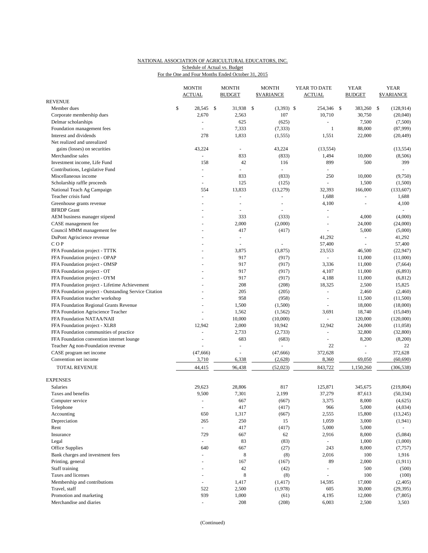# NATIONAL ASSOCIATION OF AGRICULTURAL EDUCATORS, INC. Schedule of Actual vs. Budget

|  |  |  |  |  |  |  |  | For the One and Four Months Ended October 31, 2015 |  |  |
|--|--|--|--|--|--|--|--|----------------------------------------------------|--|--|
|--|--|--|--|--|--|--|--|----------------------------------------------------|--|--|

|                                                       | <b>MONTH</b>             | <b>MONTH</b>             | <b>MONTH</b>            | YEAR TO DATE   | <b>YEAR</b>                  | <b>YEAR</b>              |
|-------------------------------------------------------|--------------------------|--------------------------|-------------------------|----------------|------------------------------|--------------------------|
|                                                       | <b>ACTUAL</b>            | <b>BUDGET</b>            | <b><i>SVARIANCE</i></b> | <b>ACTUAL</b>  | <b>BUDGET</b>                | <b>\$VARIANCE</b>        |
| <b>REVENUE</b>                                        |                          |                          |                         |                |                              |                          |
| Member dues                                           | \$<br>28,545 \$          | 31,938                   | \$<br>$(3,393)$ \$      | 254,346 \$     | 383,260                      | \$<br>(128, 914)         |
| Corporate membership dues                             | 2,670                    | 2,563                    | 107                     | 10,710         | 30,750                       | (20,040)                 |
| Delmar scholarships                                   | ÷,                       | 625                      | (625)                   | $\blacksquare$ | 7,500                        | (7,500)                  |
| Foundation management fees                            | ÷,                       | 7,333                    | (7, 333)                | $\mathbf{1}$   | 88,000                       | (87,999)                 |
| Interest and dividends                                | 278                      | 1,833                    | (1, 555)                | 1,551          | 22,000                       | (20, 449)                |
| Net realized and unrealized                           |                          |                          |                         |                |                              |                          |
| gains (losses) on securities                          | 43,224<br>$\overline{a}$ | ÷.                       | 43,224                  | (13, 554)      |                              | (13, 554)                |
| Merchandise sales<br>Investment income. Life Fund     | 158                      | 833<br>42                | (833)<br>116            | 1,494<br>899   | 10,000<br>500                | (8,506)<br>399           |
| Contributions, Legislative Fund                       | L,                       |                          | $\omega$                |                |                              | $\omega$                 |
| Miscellaneous income                                  | $\overline{a}$           | 833                      | (833)                   | 250            | 10,000                       | (9,750)                  |
| Scholarship raffle proceeds                           | L,                       | 125                      | (125)                   |                | 1,500                        | (1,500)                  |
| National Teach Ag Campaign                            | 554                      | 13,833                   | (13,279)                | 32,393         | 166,000                      | (133,607)                |
| Teacher crisis fund                                   | ÷,                       |                          | L,                      | 1,688          | L.                           | 1,688                    |
| Greenhouse grants revenue                             | $\overline{a}$           | $\overline{a}$           | $\overline{a}$          | 4,100          |                              | 4,100                    |
| <b>BFRDP</b> Grant                                    |                          |                          |                         | ä,             |                              |                          |
| AEM business manager stipend                          |                          | 333                      | (333)                   | $\blacksquare$ | 4,000                        | (4,000)                  |
| CASE management fee                                   |                          | 2,000                    | (2,000)                 |                | 24,000                       | (24,000)                 |
| Council MMM management fee                            |                          | 417                      | (417)                   | ÷.             | 5,000                        | (5,000)                  |
| DuPont Agriscience revenue                            |                          | $\overline{\phantom{a}}$ |                         | 41,292         | ÷,                           | 41,292                   |
| COP                                                   |                          |                          |                         | 57,400         |                              | 57,400                   |
| FFA Foundation project - TTTK                         |                          | 3,875                    | (3,875)                 | 23,553         | 46,500                       | (22, 947)                |
| FFA Foundation project - OPAP                         |                          | 917                      | (917)                   | a.             | 11,000                       | (11,000)                 |
| FFA Foundation project - OMSP                         |                          | 917                      | (917)                   | 3,336          | 11,000                       | (7,664)                  |
| FFA Foundation project - OT                           |                          | 917                      | (917)                   | 4,107          | 11,000                       | (6, 893)                 |
| FFA Foundation project - OYM                          |                          | 917                      | (917)                   | 4,188          | 11,000                       | (6, 812)                 |
| FFA Foundation project - Lifetime Achievement         |                          | 208                      | (208)                   | 18,325         | 2,500                        | 15,825                   |
| FFA Foundation project - Outstanding Service Citation |                          | 205                      | (205)                   | $\blacksquare$ | 2,460                        | (2,460)                  |
| FFA Foundation teacher workshop                       |                          | 958                      | (958)                   | $\equiv$       | 11,500                       | (11,500)                 |
| FFA Foundation Regional Grants Revenue                |                          | 1,500                    | (1,500)                 | $\blacksquare$ | 18,000                       | (18,000)                 |
| FFA Foundation Agriscience Teacher                    |                          | 1,562                    | (1, 562)                | 3,691          | 18,740                       | (15,049)                 |
| FFA Foundation NATAA/NAII                             |                          | 10,000                   | (10,000)                |                | 120,000                      | (120,000)                |
| FFA Foundation project - XLR8                         | 12,942                   | 2,000                    | 10,942                  | 12,942         | 24,000                       | (11,058)                 |
| FFA Foundation communities of practice                | L.                       | 2,733                    | (2,733)                 | ÷.             | 32,800                       | (32,800)                 |
| FFA Foundation convention internet lounge             |                          | 683                      | (683)                   |                | 8,200                        | (8,200)                  |
| Teacher Ag non-Foundation revenue                     |                          | $\sim$                   | $\sim$                  | 22             | $\qquad \qquad \blacksquare$ | 22                       |
| CASE program net income                               | (47, 666)                |                          | (47,666)                | 372,628        |                              | 372,628                  |
| Convention net income                                 | 3,710                    | 6,338                    | (2,628)                 | 8,360          | 69,050                       | (60, 690)                |
| TOTAL REVENUE                                         | 44,415                   | 96,438                   | (52,023)                | 843,722        | 1,150,260                    | (306, 538)               |
| <b>EXPENSES</b>                                       |                          |                          |                         |                |                              |                          |
| Salaries                                              | 29,623                   | 28,806                   | 817                     | 125,871        | 345,675                      | (219, 804)               |
| Taxes and benefits                                    | 9,500                    | 7,301                    | 2,199                   | 37,279         | 87,613                       | (50, 334)                |
| Computer service                                      | $\frac{1}{2}$            | 667                      | (667)                   | 3,375          | 8,000                        | (4, 625)                 |
| Telephone                                             | ÷,                       | 417                      | (417)                   | 966            | 5,000                        | (4,034)                  |
| Accounting                                            | 650                      | 1,317                    | (667)                   | 2,555          | 15,800                       | (13,245)                 |
| Depreciation                                          | 265                      | 250                      | 15                      | 1,059          | 3,000                        | (1, 941)                 |
| Rent                                                  | $\omega$                 | 417                      | (417)                   | 5,000          | 5,000                        | $\overline{\phantom{a}}$ |
| Insurance                                             | 729                      | 667                      | 62                      | 2,916          | 8,000                        | (5,084)                  |
| Legal                                                 | $\blacksquare$           | 83                       | (83)                    | $\blacksquare$ | 1,000                        | (1,000)                  |
| Office Supplies                                       | 640                      | 667                      | (27)                    | 243            | 8,000                        | (7, 757)                 |
| Bank charges and investment fees                      | $\blacksquare$           | 8                        | (8)                     | 2,016          | 100                          | 1,916                    |
| Printing, general                                     |                          | 167                      | (167)                   | 89             | 2,000                        | (1, 911)                 |
| Staff training                                        | $\sim$                   | $42\,$                   | (42)                    | $\blacksquare$ | 500                          | (500)                    |
| Taxes and licenses                                    |                          | 8                        | (8)                     |                | 100                          | (100)                    |
| Membership and contributions                          | $\omega$                 | 1,417                    | (1, 417)                | 14,595         | 17,000                       | (2,405)                  |
| Travel, staff                                         | 522                      | 2,500                    | (1,978)                 | 605            | 30,000                       | (29, 395)                |
| Promotion and marketing                               | 939                      | 1,000                    | (61)                    | 4,195          | 12,000                       | (7, 805)                 |
| Merchandise and diaries                               | $\overline{\phantom{a}}$ | 208                      | (208)                   | 6,003          | 2,500                        | 3,503                    |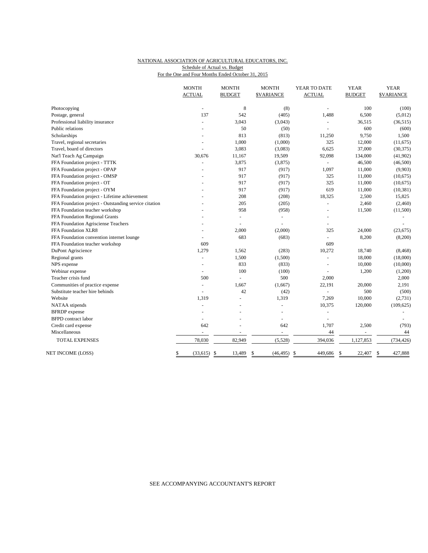### NATIONAL ASSOCIATION OF AGRICULTURAL EDUCATORS, INC. For the One and Four Months Ended October 31, 2015 Schedule of Actual vs. Budget

|                                                       | <b>MONTH</b>   | <b>MONTH</b>            | <b>MONTH</b>      | YEAR TO DATE   | <b>YEAR</b>   | <b>YEAR</b>      |
|-------------------------------------------------------|----------------|-------------------------|-------------------|----------------|---------------|------------------|
|                                                       | <b>ACTUAL</b>  | <b>BUDGET</b>           | <b>\$VARIANCE</b> | <b>ACTUAL</b>  | <b>BUDGET</b> | <b>SVARIANCE</b> |
| Photocopying                                          |                | 8                       | (8)               |                | 100           | (100)            |
| Postage, general                                      | 137            | 542                     | (405)             | 1,488          | 6,500         | (5,012)          |
| Professional liability insurance                      | $\overline{a}$ | 3,043                   | (3,043)           |                | 36,515        | (36, 515)        |
| Public relations                                      |                | 50                      | (50)              |                | 600           | (600)            |
| Scholarships                                          |                | 813                     | (813)             | 11,250         | 9,750         | 1,500            |
| Travel, regional secretaries                          |                | 1,000                   | (1,000)           | 325            | 12,000        | (11,675)         |
| Travel, board of directors                            |                | 3,083                   | (3,083)           | 6,625          | 37,000        | (30, 375)        |
| Nat'l Teach Ag Campaign                               | 30,676         | 11,167                  | 19,509            | 92,098         | 134,000       | (41,902)         |
| FFA Foundation project - TTTK                         |                | 3,875                   | (3,875)           |                | 46,500        | (46,500)         |
| FFA Foundation project - OPAP                         |                | 917                     | (917)             | 1,097          | 11,000        | (9,903)          |
| FFA Foundation project - OMSP                         |                | 917                     | (917)             | 325            | 11,000        | (10,675)         |
| FFA Foundation project - OT                           |                | 917                     | (917)             | 325            | 11,000        | (10,675)         |
| FFA Foundation project - OYM                          |                | 917                     | (917)             | 619            | 11,000        | (10, 381)        |
| FFA Foundation project - Lifetime achievement         |                | 208                     | (208)             | 18,325         | 2,500         | 15,825           |
| FFA Foundation project - Outstanding service citation |                | 205                     | (205)             | ä,             | 2,460         | (2,460)          |
| FFA Foundation teacher workshop                       |                | 958                     | (958)             |                | 11,500        | (11,500)         |
| FFA Foundation Regional Grants                        |                | ÷,                      | $\blacksquare$    | $\blacksquare$ |               |                  |
| FFA Foundation Agrisciense Teachers                   |                |                         |                   | L.             |               |                  |
| FFA Foundation XLR8                                   |                | 2,000                   | (2,000)           | 325            | 24,000        | (23, 675)        |
| FFA Foundation convention internet lounge             |                | 683                     | (683)             | $\equiv$       | 8,200         | (8,200)          |
| FFA Foundation teacher workshop                       | 609            |                         |                   | 609            |               |                  |
| DuPont Agriscience                                    | 1,279          | 1,562                   | (283)             | 10,272         | 18,740        | (8, 468)         |
| Regional grants                                       | L.             | 1,500                   | (1,500)           | L.             | 18,000        | (18,000)         |
| NPS expense                                           |                | 833                     | (833)             |                | 10,000        | (10,000)         |
| Webinar expense                                       |                | 100                     | (100)             |                | 1,200         | (1,200)          |
| Teacher crisis fund                                   | 500            |                         | 500               | 2,000          |               | 2,000            |
| Communities of practice expense                       | L.             | 1,667                   | (1,667)           | 22,191         | 20,000        | 2,191            |
| Substitute teacher hire behinds                       | ÷              | 42                      | (42)              | ä,             | 500           | (500)            |
| Website                                               | 1,319          | $\overline{a}$          | 1,319             | 7,269          | 10,000        | (2,731)          |
| NATAA stipends                                        | L.             |                         | ä,                | 10,375         | 120,000       | (109, 625)       |
| <b>BFRDP</b> expense                                  |                |                         |                   |                |               |                  |
| <b>BFPD</b> contract labor                            | $\overline{a}$ |                         | $\blacksquare$    | $\overline{a}$ |               |                  |
| Credit card expense                                   | 642            | L,                      | 642               | 1,707          | 2,500         | (793)            |
| Miscellaneous                                         |                |                         | ÷                 | 44             | ÷             | 44               |
| <b>TOTAL EXPENSES</b>                                 | 78,030         | 82,949                  | (5,528)           | 394,036        | 1,127,853     | (734, 426)       |
| NET INCOME (LOSS)                                     | (33,615)<br>\$ | $\mathcal{S}$<br>13,489 | (46, 495)<br>\$   | 449,686<br>\$  | 22,407<br>\$  | 427,888<br>\$    |
|                                                       |                |                         |                   |                |               |                  |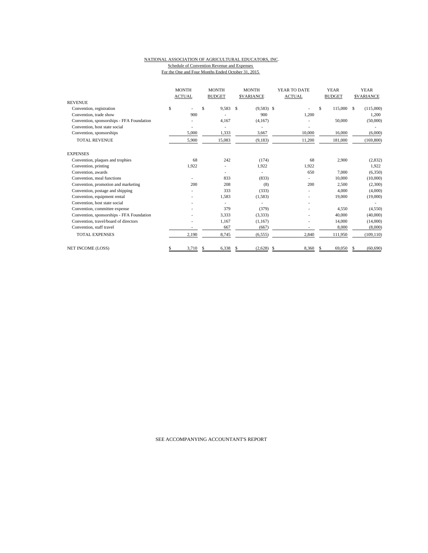#### NATIONAL ASSOCIATION OF AGRICULTURAL EDUCATORS, INC. Schedule of Convention Revenue and Expenses For the One and Four Months Ended October 31, 2015

|                                           |    | <b>MONTH</b><br><b>ACTUAL</b> |    | <b>MONTH</b><br><b>BUDGET</b> |   | <b>MONTH</b><br><b>SVARIANCE</b> |    | YEAR TO DATE<br><b>ACTUAL</b> | <b>YEAR</b><br><b>BUDGET</b> | <b>YEAR</b><br><b>SVARIANCE</b> |
|-------------------------------------------|----|-------------------------------|----|-------------------------------|---|----------------------------------|----|-------------------------------|------------------------------|---------------------------------|
| <b>REVENUE</b>                            |    |                               |    |                               |   |                                  |    |                               |                              |                                 |
| Convention, registration                  | \$ |                               | \$ | 9,583                         | S | $(9,583)$ \$                     |    |                               | \$<br>115,000 \$             | (115,000)                       |
| Convention, trade show                    |    | 900                           |    |                               |   | 900                              |    | 1,200                         |                              | 1,200                           |
| Convention, sponsorships - FFA Foundation |    |                               |    | 4,167                         |   | (4,167)                          |    |                               | 50,000                       | (50,000)                        |
| Convention, host state social             |    |                               |    |                               |   |                                  |    |                               |                              |                                 |
| Convention, sponsorships                  |    | 5,000                         |    | 1,333                         |   | 3,667                            |    | 10,000                        | 16,000                       | (6,000)                         |
| <b>TOTAL REVENUE</b>                      |    | 5,900                         |    | 15,083                        |   | (9,183)                          |    | 11,200                        | 181,000                      | (169, 800)                      |
| <b>EXPENSES</b>                           |    |                               |    |                               |   |                                  |    |                               |                              |                                 |
| Convention, plaques and trophies          |    | 68                            |    | 242                           |   | (174)                            |    | 68                            | 2,900                        | (2,832)                         |
| Convention, printing                      |    | 1,922                         |    |                               |   | 1,922                            |    | 1,922                         |                              | 1,922                           |
| Convention, awards                        |    |                               |    |                               |   |                                  |    | 650                           | 7,000                        | (6,350)                         |
| Convention, meal functions                |    |                               |    | 833                           |   | (833)                            |    |                               | 10,000                       | (10,000)                        |
| Convention, promotion and marketing       |    | 200                           |    | 208                           |   | (8)                              |    | 200                           | 2,500                        | (2,300)                         |
| Convention, postage and shipping          |    |                               |    | 333                           |   | (333)                            |    |                               | 4,000                        | (4,000)                         |
| Convention, equipment rental              |    |                               |    | 1,583                         |   | (1,583)                          |    |                               | 19,000                       | (19,000)                        |
| Convention, host state social             |    |                               |    |                               |   |                                  |    |                               |                              |                                 |
| Convention, committee expense             |    |                               |    | 379                           |   | (379)                            |    |                               | 4,550                        | (4,550)                         |
| Convention, sponsorships - FFA Foundation |    |                               |    | 3,333                         |   | (3,333)                          |    |                               | 40,000                       | (40,000)                        |
| Convention, travel/board of directors     |    |                               |    | 1,167                         |   | (1,167)                          |    |                               | 14,000                       | (14,000)                        |
| Convention, staff travel                  |    |                               |    | 667                           |   | (667)                            |    |                               | 8,000                        | (8,000)                         |
| <b>TOTAL EXPENSES</b>                     |    | 2,190                         |    | 8,745                         |   | (6, 555)                         |    | 2,840                         | 111,950                      | (109, 110)                      |
| NET INCOME (LOSS)                         |    | 3,710                         | S  | 6,338                         | S | (2,628)                          | -S | 8.360                         | 69,050                       | (60, 690)                       |